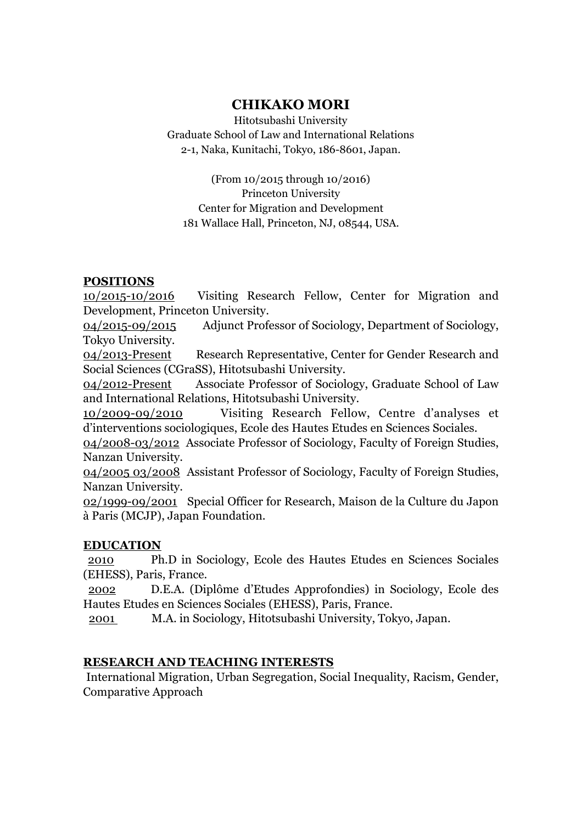# **CHIKAKO MORI**

Hitotsubashi University Graduate School of Law and International Relations 2-1, Naka, Kunitachi, Tokyo, 186-8601, Japan.

(From 10/2015 through 10/2016) Princeton University Center for Migration and Development 181 Wallace Hall, Princeton, NJ, 08544, USA.

## **POSITIONS**

10/2015-10/2016 Visiting Research Fellow, Center for Migration and Development, Princeton University.

04/2015-09/2015 Adjunct Professor of Sociology, Department of Sociology, Tokyo University.

04/2013-Present Research Representative, Center for Gender Research and Social Sciences (CGraSS), Hitotsubashi University.

04/2012-Present Associate Professor of Sociology, Graduate School of Law and International Relations, Hitotsubashi University.

10/2009-09/2010 Visiting Research Fellow, Centre d'analyses et d'interventions sociologiques, Ecole des Hautes Etudes en Sciences Sociales.

04/2008-03/2012 Associate Professor of Sociology, Faculty of Foreign Studies, Nanzan University.

04/2005 03/2008 Assistant Professor of Sociology, Faculty of Foreign Studies, Nanzan University.

02/1999-09/2001 Special Officer for Research, Maison de la Culture du Japon à Paris (MCJP), Japan Foundation.

## **EDUCATION**

2010 Ph.D in Sociology, Ecole des Hautes Etudes en Sciences Sociales (EHESS), Paris, France.

2002 D.E.A. (Diplôme d'Etudes Approfondies) in Sociology, Ecole des Hautes Etudes en Sciences Sociales (EHESS), Paris, France.

2001 M.A. in Sociology, Hitotsubashi University, Tokyo, Japan.

### **RESEARCH AND TEACHING INTERESTS**

International Migration, Urban Segregation, Social Inequality, Racism, Gender, Comparative Approach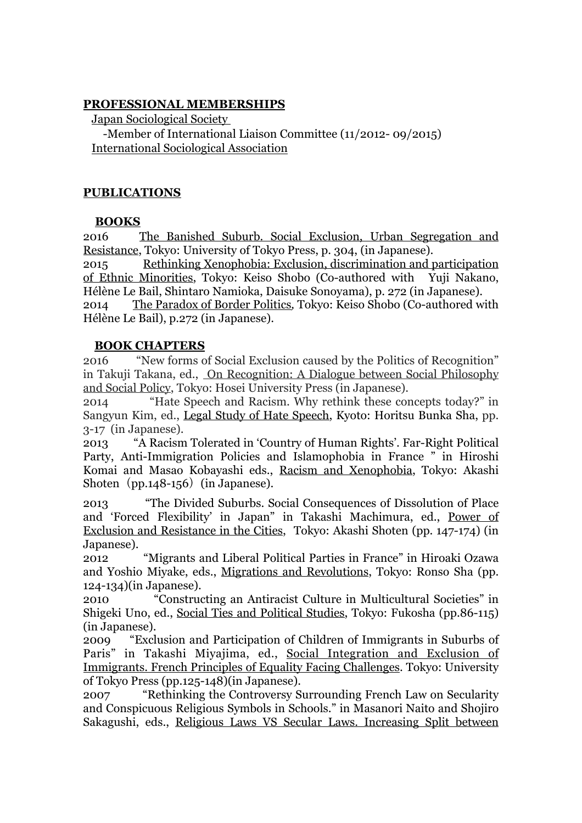#### **PROFESSIONAL MEMBERSHIPS**

Japan Sociological Society

 -Member of International Liaison Committee (11/2012- 09/2015) International Sociological Association

#### **PUBLICATIONS**

#### **BOOKS**

2016 The Banished Suburb. Social Exclusion, Urban Segregation and Resistance, Tokyo: University of Tokyo Press, p. 304, (in Japanese).

2015 Rethinking Xenophobia: Exclusion, discrimination and participation of Ethnic Minorities, Tokyo: Keiso Shobo (Co-authored with Yuji Nakano, Hélène Le Bail, Shintaro Namioka, Daisuke Sonoyama), p. 272 (in Japanese).

2014 The Paradox of Border Politics*,* Tokyo: Keiso Shobo (Co-authored with Hélène Le Bail), p.272 (in Japanese).

#### **BOOK CHAPTERS**

2016 "New forms of Social Exclusion caused by the Politics of Recognition" in Takuji Takana, ed., On Recognition: A Dialogue between Social Philosophy and Social Policy, Tokyo: Hosei University Press (in Japanese).

2014 "Hate Speech and Racism. Why rethink these concepts today?" in Sangyun Kim, ed., Legal Study of Hate Speech, Kyoto: Horitsu Bunka Sha, pp. 3-17 (in Japanese).

2013 "A Racism Tolerated in 'Country of Human Rights'. Far-Right Political Party, Anti-Immigration Policies and Islamophobia in France " in Hiroshi Komai and Masao Kobayashi eds., Racism and Xenophobia, Tokyo: Akashi Shoten (pp.148-156) (in Japanese).

2013 "The Divided Suburbs. Social Consequences of Dissolution of Place and 'Forced Flexibility' in Japan" in Takashi Machimura, ed., Power of Exclusion and Resistance in the Cities, Tokyo: Akashi Shoten (pp. 147-174) (in Japanese).

2012 "Migrants and Liberal Political Parties in France" in Hiroaki Ozawa and Yoshio Miyake, eds., Migrations and Revolutions, Tokyo: Ronso Sha (pp. 124-134)(in Japanese).

2010 "Constructing an Antiracist Culture in Multicultural Societies" in Shigeki Uno, ed., Social Ties and Political Studies, Tokyo: Fukosha (pp.86-115) (in Japanese).

2009 "Exclusion and Participation of Children of Immigrants in Suburbs of Paris" in Takashi Miyajima, ed., Social Integration and Exclusion of Immigrants. French Principles of Equality Facing Challenges. Tokyo: University of Tokyo Press (pp.125-148)(in Japanese).

2007 "Rethinking the Controversy Surrounding French Law on Secularity and Conspicuous Religious Symbols in Schools." in Masanori Naito and Shojiro Sakagushi, eds., Religious Laws VS Secular Laws. Increasing Split between